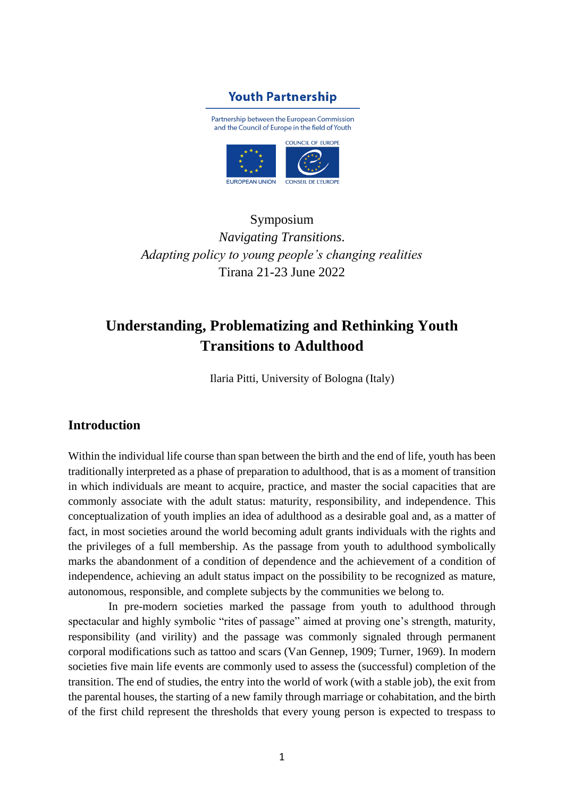# **Youth Partnership**

Partnership between the European Commission and the Council of Europe in the field of Youth



Symposium *Navigating Transitions. Adapting policy to young people's changing realities* Tirana 21-23 June 2022

# **Understanding, Problematizing and Rethinking Youth Transitions to Adulthood**

Ilaria Pitti, University of Bologna (Italy)

# **Introduction**

Within the individual life course than span between the birth and the end of life, youth has been traditionally interpreted as a phase of preparation to adulthood, that is as a moment of transition in which individuals are meant to acquire, practice, and master the social capacities that are commonly associate with the adult status: maturity, responsibility, and independence. This conceptualization of youth implies an idea of adulthood as a desirable goal and, as a matter of fact, in most societies around the world becoming adult grants individuals with the rights and the privileges of a full membership. As the passage from youth to adulthood symbolically marks the abandonment of a condition of dependence and the achievement of a condition of independence, achieving an adult status impact on the possibility to be recognized as mature, autonomous, responsible, and complete subjects by the communities we belong to.

In pre-modern societies marked the passage from youth to adulthood through spectacular and highly symbolic "rites of passage" aimed at proving one's strength, maturity, responsibility (and virility) and the passage was commonly signaled through permanent corporal modifications such as tattoo and scars (Van Gennep, 1909; Turner, 1969). In modern societies five main life events are commonly used to assess the (successful) completion of the transition. The end of studies, the entry into the world of work (with a stable job), the exit from the parental houses, the starting of a new family through marriage or cohabitation, and the birth of the first child represent the thresholds that every young person is expected to trespass to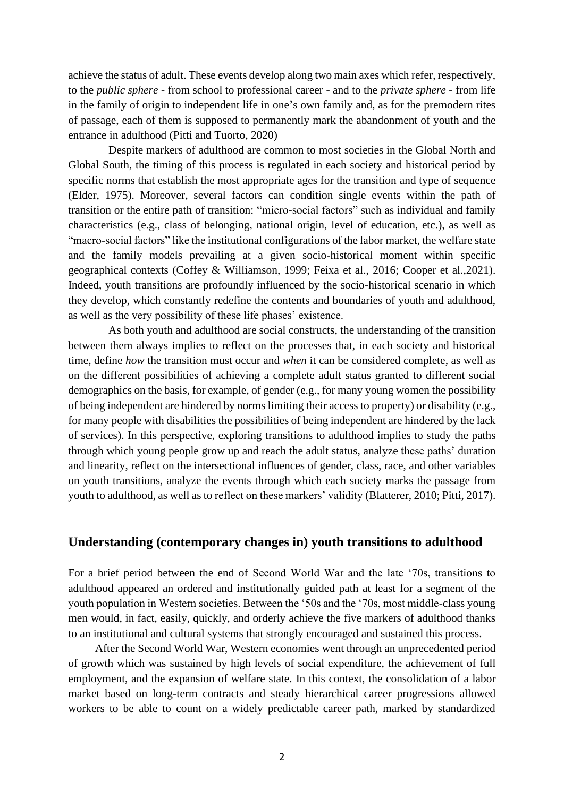achieve the status of adult. These events develop along two main axes which refer, respectively, to the *public sphere* - from school to professional career - and to the *private sphere* - from life in the family of origin to independent life in one's own family and, as for the premodern rites of passage, each of them is supposed to permanently mark the abandonment of youth and the entrance in adulthood (Pitti and Tuorto, 2020)

Despite markers of adulthood are common to most societies in the Global North and Global South, the timing of this process is regulated in each society and historical period by specific norms that establish the most appropriate ages for the transition and type of sequence (Elder, 1975). Moreover, several factors can condition single events within the path of transition or the entire path of transition: "micro-social factors" such as individual and family characteristics (e.g., class of belonging, national origin, level of education, etc.), as well as "macro-social factors" like the institutional configurations of the labor market, the welfare state and the family models prevailing at a given socio-historical moment within specific geographical contexts (Coffey & Williamson, 1999; Feixa et al., 2016; Cooper et al.,2021). Indeed, youth transitions are profoundly influenced by the socio-historical scenario in which they develop, which constantly redefine the contents and boundaries of youth and adulthood, as well as the very possibility of these life phases' existence.

As both youth and adulthood are social constructs, the understanding of the transition between them always implies to reflect on the processes that, in each society and historical time, define *how* the transition must occur and *when* it can be considered complete, as well as on the different possibilities of achieving a complete adult status granted to different social demographics on the basis, for example, of gender (e.g., for many young women the possibility of being independent are hindered by norms limiting their access to property) or disability (e.g., for many people with disabilities the possibilities of being independent are hindered by the lack of services). In this perspective, exploring transitions to adulthood implies to study the paths through which young people grow up and reach the adult status, analyze these paths' duration and linearity, reflect on the intersectional influences of gender, class, race, and other variables on youth transitions, analyze the events through which each society marks the passage from youth to adulthood, as well as to reflect on these markers' validity (Blatterer, 2010; Pitti, 2017).

### **Understanding (contemporary changes in) youth transitions to adulthood**

For a brief period between the end of Second World War and the late '70s, transitions to adulthood appeared an ordered and institutionally guided path at least for a segment of the youth population in Western societies. Between the '50s and the '70s, most middle-class young men would, in fact, easily, quickly, and orderly achieve the five markers of adulthood thanks to an institutional and cultural systems that strongly encouraged and sustained this process.

After the Second World War, Western economies went through an unprecedented period of growth which was sustained by high levels of social expenditure, the achievement of full employment, and the expansion of welfare state. In this context, the consolidation of a labor market based on long-term contracts and steady hierarchical career progressions allowed workers to be able to count on a widely predictable career path, marked by standardized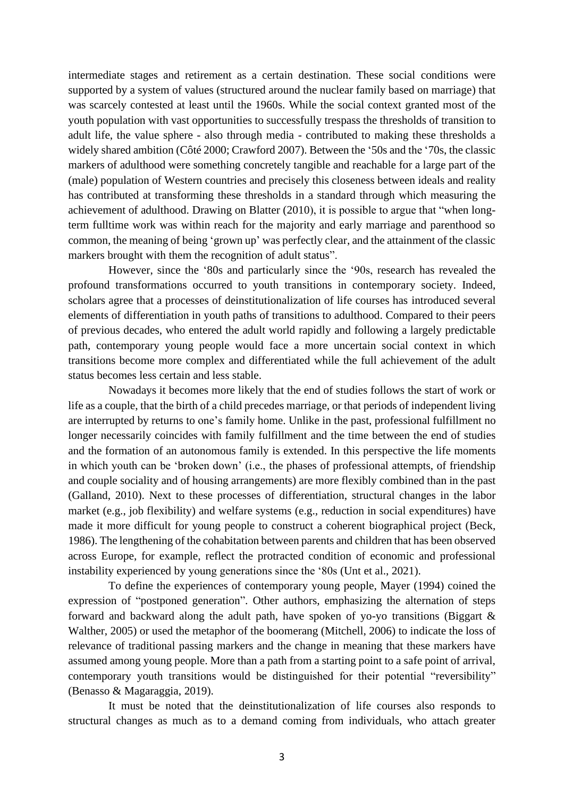intermediate stages and retirement as a certain destination. These social conditions were supported by a system of values (structured around the nuclear family based on marriage) that was scarcely contested at least until the 1960s. While the social context granted most of the youth population with vast opportunities to successfully trespass the thresholds of transition to adult life, the value sphere - also through media - contributed to making these thresholds a widely shared ambition (Côté 2000; Crawford 2007). Between the '50s and the '70s, the classic markers of adulthood were something concretely tangible and reachable for a large part of the (male) population of Western countries and precisely this closeness between ideals and reality has contributed at transforming these thresholds in a standard through which measuring the achievement of adulthood. Drawing on Blatter (2010), it is possible to argue that "when longterm fulltime work was within reach for the majority and early marriage and parenthood so common, the meaning of being 'grown up' was perfectly clear, and the attainment of the classic markers brought with them the recognition of adult status".

However, since the '80s and particularly since the '90s, research has revealed the profound transformations occurred to youth transitions in contemporary society. Indeed, scholars agree that a processes of deinstitutionalization of life courses has introduced several elements of differentiation in youth paths of transitions to adulthood. Compared to their peers of previous decades, who entered the adult world rapidly and following a largely predictable path, contemporary young people would face a more uncertain social context in which transitions become more complex and differentiated while the full achievement of the adult status becomes less certain and less stable.

Nowadays it becomes more likely that the end of studies follows the start of work or life as a couple, that the birth of a child precedes marriage, or that periods of independent living are interrupted by returns to one's family home. Unlike in the past, professional fulfillment no longer necessarily coincides with family fulfillment and the time between the end of studies and the formation of an autonomous family is extended. In this perspective the life moments in which youth can be 'broken down' (i.e., the phases of professional attempts, of friendship and couple sociality and of housing arrangements) are more flexibly combined than in the past (Galland, 2010). Next to these processes of differentiation, structural changes in the labor market (e.g., job flexibility) and welfare systems (e.g., reduction in social expenditures) have made it more difficult for young people to construct a coherent biographical project (Beck, 1986). The lengthening of the cohabitation between parents and children that has been observed across Europe, for example, reflect the protracted condition of economic and professional instability experienced by young generations since the '80s (Unt et al., 2021).

To define the experiences of contemporary young people, Mayer (1994) coined the expression of "postponed generation". Other authors, emphasizing the alternation of steps forward and backward along the adult path, have spoken of yo-yo transitions (Biggart & Walther, 2005) or used the metaphor of the boomerang (Mitchell, 2006) to indicate the loss of relevance of traditional passing markers and the change in meaning that these markers have assumed among young people. More than a path from a starting point to a safe point of arrival, contemporary youth transitions would be distinguished for their potential "reversibility" (Benasso & Magaraggia, 2019).

It must be noted that the deinstitutionalization of life courses also responds to structural changes as much as to a demand coming from individuals, who attach greater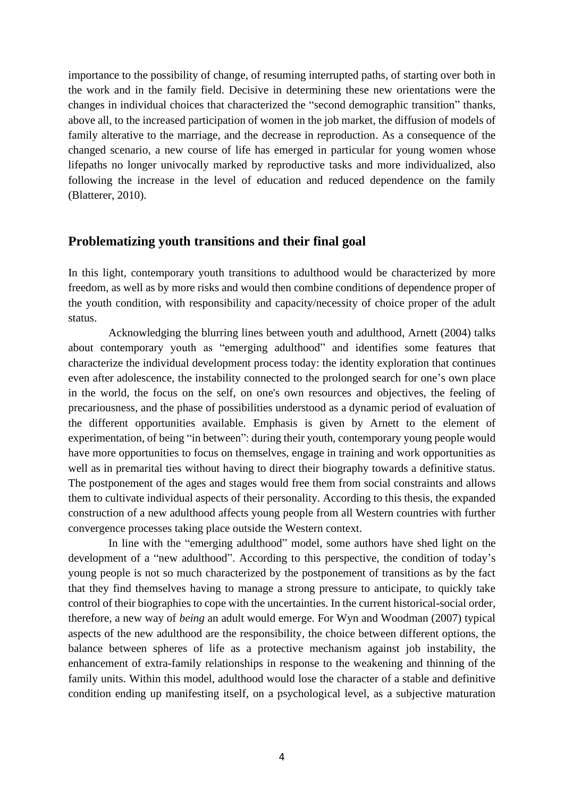importance to the possibility of change, of resuming interrupted paths, of starting over both in the work and in the family field. Decisive in determining these new orientations were the changes in individual choices that characterized the "second demographic transition" thanks, above all, to the increased participation of women in the job market, the diffusion of models of family alterative to the marriage, and the decrease in reproduction. As a consequence of the changed scenario, a new course of life has emerged in particular for young women whose lifepaths no longer univocally marked by reproductive tasks and more individualized, also following the increase in the level of education and reduced dependence on the family (Blatterer, 2010).

## **Problematizing youth transitions and their final goal**

In this light, contemporary youth transitions to adulthood would be characterized by more freedom, as well as by more risks and would then combine conditions of dependence proper of the youth condition, with responsibility and capacity/necessity of choice proper of the adult status.

Acknowledging the blurring lines between youth and adulthood, Arnett (2004) talks about contemporary youth as "emerging adulthood" and identifies some features that characterize the individual development process today: the identity exploration that continues even after adolescence, the instability connected to the prolonged search for one's own place in the world, the focus on the self, on one's own resources and objectives, the feeling of precariousness, and the phase of possibilities understood as a dynamic period of evaluation of the different opportunities available. Emphasis is given by Arnett to the element of experimentation, of being "in between": during their youth, contemporary young people would have more opportunities to focus on themselves, engage in training and work opportunities as well as in premarital ties without having to direct their biography towards a definitive status. The postponement of the ages and stages would free them from social constraints and allows them to cultivate individual aspects of their personality. According to this thesis, the expanded construction of a new adulthood affects young people from all Western countries with further convergence processes taking place outside the Western context.

In line with the "emerging adulthood" model, some authors have shed light on the development of a "new adulthood". According to this perspective, the condition of today's young people is not so much characterized by the postponement of transitions as by the fact that they find themselves having to manage a strong pressure to anticipate, to quickly take control of their biographies to cope with the uncertainties. In the current historical-social order, therefore, a new way of *being* an adult would emerge. For Wyn and Woodman (2007) typical aspects of the new adulthood are the responsibility, the choice between different options, the balance between spheres of life as a protective mechanism against job instability, the enhancement of extra-family relationships in response to the weakening and thinning of the family units. Within this model, adulthood would lose the character of a stable and definitive condition ending up manifesting itself, on a psychological level, as a subjective maturation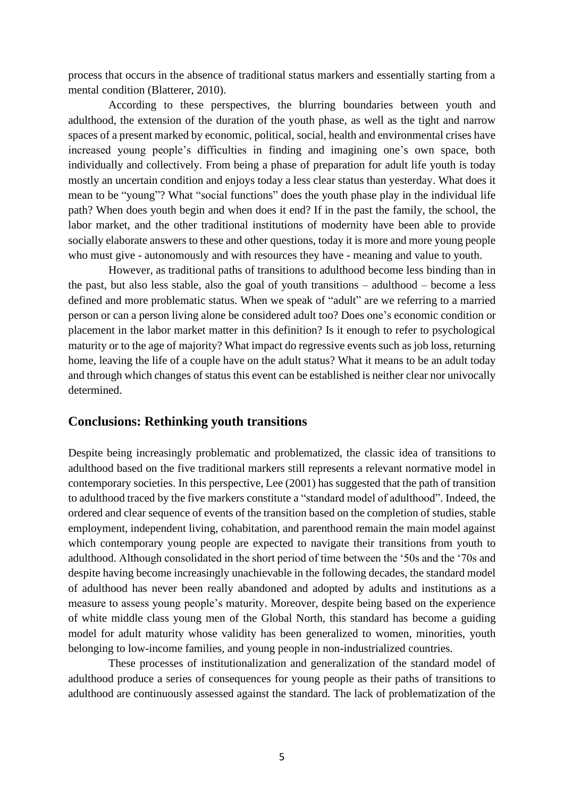process that occurs in the absence of traditional status markers and essentially starting from a mental condition (Blatterer, 2010).

According to these perspectives, the blurring boundaries between youth and adulthood, the extension of the duration of the youth phase, as well as the tight and narrow spaces of a present marked by economic, political, social, health and environmental crises have increased young people's difficulties in finding and imagining one's own space, both individually and collectively. From being a phase of preparation for adult life youth is today mostly an uncertain condition and enjoys today a less clear status than yesterday. What does it mean to be "young"? What "social functions" does the youth phase play in the individual life path? When does youth begin and when does it end? If in the past the family, the school, the labor market, and the other traditional institutions of modernity have been able to provide socially elaborate answers to these and other questions, today it is more and more young people who must give - autonomously and with resources they have - meaning and value to youth.

However, as traditional paths of transitions to adulthood become less binding than in the past, but also less stable, also the goal of youth transitions – adulthood – become a less defined and more problematic status. When we speak of "adult" are we referring to a married person or can a person living alone be considered adult too? Does one's economic condition or placement in the labor market matter in this definition? Is it enough to refer to psychological maturity or to the age of majority? What impact do regressive events such as job loss, returning home, leaving the life of a couple have on the adult status? What it means to be an adult today and through which changes of status this event can be established is neither clear nor univocally determined.

## **Conclusions: Rethinking youth transitions**

Despite being increasingly problematic and problematized, the classic idea of transitions to adulthood based on the five traditional markers still represents a relevant normative model in contemporary societies. In this perspective, Lee (2001) has suggested that the path of transition to adulthood traced by the five markers constitute a "standard model of adulthood". Indeed, the ordered and clear sequence of events of the transition based on the completion of studies, stable employment, independent living, cohabitation, and parenthood remain the main model against which contemporary young people are expected to navigate their transitions from youth to adulthood. Although consolidated in the short period of time between the '50s and the '70s and despite having become increasingly unachievable in the following decades, the standard model of adulthood has never been really abandoned and adopted by adults and institutions as a measure to assess young people's maturity. Moreover, despite being based on the experience of white middle class young men of the Global North, this standard has become a guiding model for adult maturity whose validity has been generalized to women, minorities, youth belonging to low-income families, and young people in non-industrialized countries.

These processes of institutionalization and generalization of the standard model of adulthood produce a series of consequences for young people as their paths of transitions to adulthood are continuously assessed against the standard. The lack of problematization of the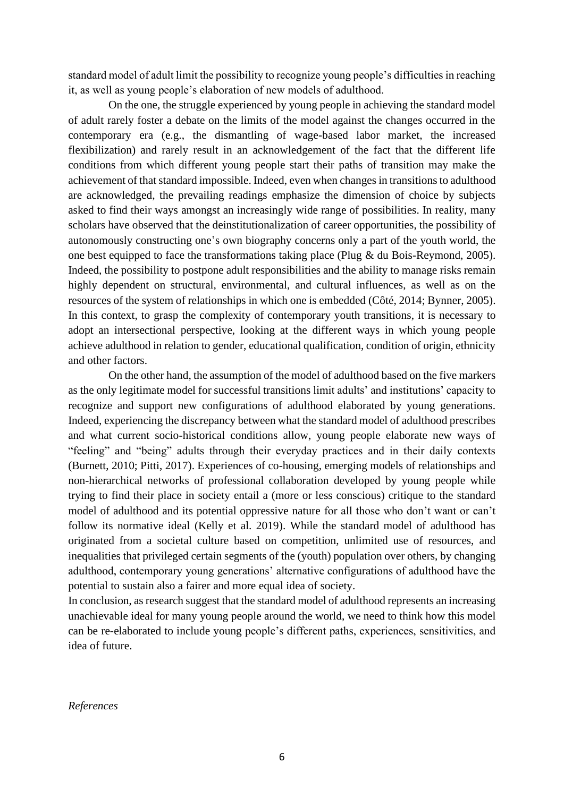standard model of adult limit the possibility to recognize young people's difficulties in reaching it, as well as young people's elaboration of new models of adulthood.

On the one, the struggle experienced by young people in achieving the standard model of adult rarely foster a debate on the limits of the model against the changes occurred in the contemporary era (e.g., the dismantling of wage-based labor market, the increased flexibilization) and rarely result in an acknowledgement of the fact that the different life conditions from which different young people start their paths of transition may make the achievement of that standard impossible. Indeed, even when changes in transitions to adulthood are acknowledged, the prevailing readings emphasize the dimension of choice by subjects asked to find their ways amongst an increasingly wide range of possibilities. In reality, many scholars have observed that the deinstitutionalization of career opportunities, the possibility of autonomously constructing one's own biography concerns only a part of the youth world, the one best equipped to face the transformations taking place (Plug & du Bois-Reymond, 2005). Indeed, the possibility to postpone adult responsibilities and the ability to manage risks remain highly dependent on structural, environmental, and cultural influences, as well as on the resources of the system of relationships in which one is embedded (Côté, 2014; Bynner, 2005). In this context, to grasp the complexity of contemporary youth transitions, it is necessary to adopt an intersectional perspective, looking at the different ways in which young people achieve adulthood in relation to gender, educational qualification, condition of origin, ethnicity and other factors.

On the other hand, the assumption of the model of adulthood based on the five markers as the only legitimate model for successful transitions limit adults' and institutions' capacity to recognize and support new configurations of adulthood elaborated by young generations. Indeed, experiencing the discrepancy between what the standard model of adulthood prescribes and what current socio-historical conditions allow, young people elaborate new ways of "feeling" and "being" adults through their everyday practices and in their daily contexts (Burnett, 2010; Pitti, 2017). Experiences of co-housing, emerging models of relationships and non-hierarchical networks of professional collaboration developed by young people while trying to find their place in society entail a (more or less conscious) critique to the standard model of adulthood and its potential oppressive nature for all those who don't want or can't follow its normative ideal (Kelly et al. 2019). While the standard model of adulthood has originated from a societal culture based on competition, unlimited use of resources, and inequalities that privileged certain segments of the (youth) population over others, by changing adulthood, contemporary young generations' alternative configurations of adulthood have the potential to sustain also a fairer and more equal idea of society.

In conclusion, as research suggest that the standard model of adulthood represents an increasing unachievable ideal for many young people around the world, we need to think how this model can be re-elaborated to include young people's different paths, experiences, sensitivities, and idea of future.

*References*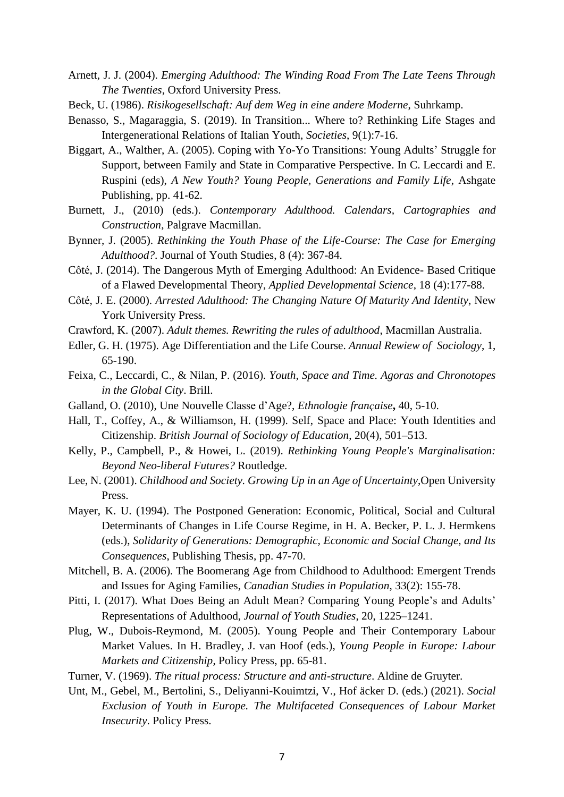- Arnett, J. J. (2004). *Emerging Adulthood: The Winding Road From The Late Teens Through The Twenties*, Oxford University Press.
- Beck, U. (1986). *Risikogesellschaft: Auf dem Weg in eine andere Moderne*, Suhrkamp.
- Benasso, S., Magaraggia, S. (2019). In Transition... Where to? Rethinking Life Stages and Intergenerational Relations of Italian Youth, *Societies*, 9(1):7-16.
- Biggart, A., Walther, A. (2005). Coping with Yo-Yo Transitions: Young Adults' Struggle for Support, between Family and State in Comparative Perspective. In C. Leccardi and E. Ruspini (eds), *A New Youth? Young People, Generations and Family Life*, Ashgate Publishing, pp. 41-62.
- Burnett, J., (2010) (eds.). *Contemporary Adulthood. Calendars, Cartographies and Construction*, Palgrave Macmillan.
- Bynner, J. (2005). *Rethinking the Youth Phase of the Life-Course: The Case for Emerging Adulthood?*. Journal of Youth Studies, 8 (4): 367-84.
- Côté, J. (2014). The Dangerous Myth of Emerging Adulthood: An Evidence- Based Critique of a Flawed Developmental Theory, *Applied Developmental Science*, 18 (4):177-88.
- Côté, J. E. (2000). *Arrested Adulthood: The Changing Nature Of Maturity And Identity*, New York University Press.
- Crawford, K. (2007). *Adult themes. Rewriting the rules of adulthood*, Macmillan Australia.
- Edler, G. H. (1975). Age Differentiation and the Life Course. *Annual Rewiew of Sociology*, 1, 65-190.
- Feixa, C., Leccardi, C., & Nilan, P. (2016). *Youth, Space and Time. Agoras and Chronotopes in the Global City*. Brill.
- Galland, O. (2010), Une Nouvelle Classe d'Age?, *Ethnologie française***,** 40, 5-10.
- Hall, T., Coffey, A., & Williamson, H. (1999). Self, Space and Place: Youth Identities and Citizenship. *British Journal of Sociology of Education*, 20(4), 501–513.
- Kelly, P., Campbell, P., & Howei, L. (2019). *Rethinking Young People's Marginalisation: Beyond Neo-liberal Futures?* Routledge.
- Lee, N. (2001). *Childhood and Society. Growing Up in an Age of Uncertainty*,Open University Press.
- Mayer, K. U. (1994). The Postponed Generation: Economic, Political, Social and Cultural Determinants of Changes in Life Course Regime, in H. A. Becker, P. L. J. Hermkens (eds.), *Solidarity of Generations: Demographic, Economic and Social Change, and Its Consequences*, Publishing Thesis, pp. 47-70.
- Mitchell, B. A. (2006). The Boomerang Age from Childhood to Adulthood: Emergent Trends and Issues for Aging Families, *Canadian Studies in Population*, 33(2): 155-78.
- Pitti, I. (2017). What Does Being an Adult Mean? Comparing Young People's and Adults' Representations of Adulthood, *Journal of Youth Studies*, 20, 1225–1241.
- Plug, W., Dubois-Reymond, M. (2005). Young People and Their Contemporary Labour Market Values. In H. Bradley, J. van Hoof (eds.), *Young People in Europe: Labour Markets and Citizenship*, Policy Press, pp. 65-81.

Turner, V. (1969). *The ritual process: Structure and anti-structure*. Aldine de Gruyter.

Unt, M., Gebel, M., Bertolini, S., Deliyanni-Kouimtzi, V., Hof äcker D. (eds.) (2021). *Social Exclusion of Youth in Europe. The Multifaceted Consequences of Labour Market Insecurity*. Policy Press.